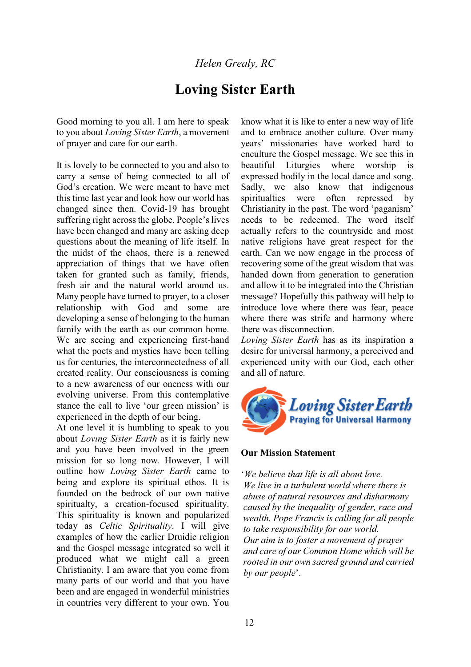## *Helen Grealy, RC*

# **Loving Sister Earth**

Good morning to you all. I am here to speak to you about *Loving Sister Earth*, a movement of prayer and care for our earth.

It is lovely to be connected to you and also to carry a sense of being connected to all of God's creation. We were meant to have met this time last year and look how our world has changed since then. Covid-19 has brought suffering right across the globe. People's lives have been changed and many are asking deep questions about the meaning of life itself. In the midst of the chaos, there is a renewed appreciation of things that we have often taken for granted such as family, friends, fresh air and the natural world around us. Many people have turned to prayer, to a closer relationship with God and some are developing a sense of belonging to the human family with the earth as our common home. We are seeing and experiencing first-hand what the poets and mystics have been telling us for centuries, the interconnectedness of all created reality. Our consciousness is coming to a new awareness of our oneness with our evolving universe. From this contemplative stance the call to live 'our green mission' is experienced in the depth of our being.

At one level it is humbling to speak to you about *Loving Sister Earth* as it is fairly new and you have been involved in the green mission for so long now. However, I will outline how *Loving Sister Earth* came to being and explore its spiritual ethos. It is founded on the bedrock of our own native spiritualty, a creation-focused spirituality. This spirituality is known and popularized today as *Celtic Spirituality*. I will give examples of how the earlier Druidic religion and the Gospel message integrated so well it produced what we might call a green Christianity. I am aware that you come from many parts of our world and that you have been and are engaged in wonderful ministries in countries very different to your own. You know what it is like to enter a new way of life and to embrace another culture. Over many vears' missionaries have worked hard to enculture the Gospel message. We see this in beautiful Liturgies where worship is expressed bodily in the local dance and song. Sadly, we also know that indigenous spiritualties were often repressed by Christianity in the past. The word 'paganism' needs to be redeemed. The word itself actually refers to the countryside and most native religions have great respect for the earth. Can we now engage in the process of recovering some of the great wisdom that was handed down from generation to generation and allow it to be integrated into the Christian message? Hopefully this pathway will help to introduce love where there was fear, peace where there was strife and harmony where there was disconnection.

*Loving Sister Earth* has as its inspiration a desire for universal harmony, a perceived and experienced unity with our God, each other and all of nature.



#### **Our Mission Statement**

µ*We believe that life is all about love. We live in a turbulent world where there is abuse of natural resources and disharmony caused by the inequality of gender, race and wealth. Pope Francis is calling for all people to take responsibility for our world. Our aim is to foster a movement of prayer and care of our Common Home which will be rooted in our own sacred ground and carried by our people*'.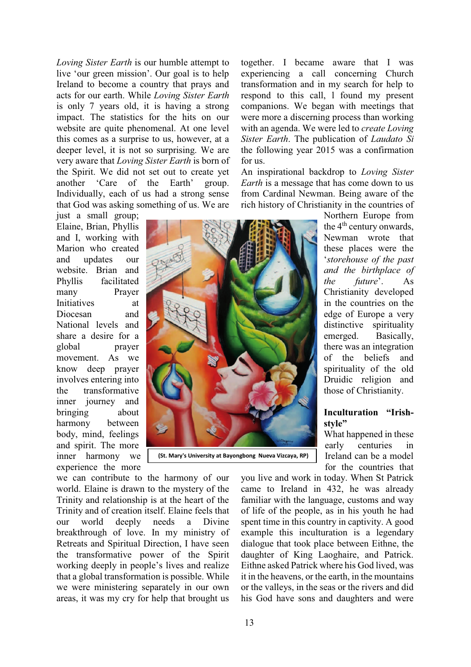*Loving Sister Earth* is our humble attempt to live 'our green mission'. Our goal is to help Ireland to become a country that prays and acts for our earth. While *Loving Sister Earth* is only 7 years old, it is having a strong impact. The statistics for the hits on our website are quite phenomenal. At one level this comes as a surprise to us, however, at a deeper level, it is not so surprising. We are very aware that *Loving Sister Earth* is born of the Spirit. We did not set out to create yet another 'Care of the Earth' group. Individually, each of us had a strong sense that God was asking something of us. We are

just a small group; Elaine, Brian, Phyllis and I, working with Marion who created and updates our website. Brian and Phyllis facilitated many Prayer Initiatives at Diocesan and National levels and share a desire for a global prayer movement. As we know deep prayer involves entering into the transformative inner journey and bringing about harmony between body, mind, feelings and spirit. The more inner harmony we experience the more

 **(St. Mary's University at Bayongbong Nueva Vizcaya, RP)**

we can contribute to the harmony of our world. Elaine is drawn to the mystery of the Trinity and relationship is at the heart of the Trinity and of creation itself. Elaine feels that our world deeply needs a Divine breakthrough of love. In my ministry of Retreats and Spiritual Direction, I have seen the transformative power of the Spirit working deeply in people's lives and realize that a global transformation is possible. While we were ministering separately in our own areas, it was my cry for help that brought us

together. I became aware that I was experiencing a call concerning Church transformation and in my search for help to respond to this call, l found my present companions. We began with meetings that were more a discerning process than working with an agenda. We were led to *create Loving Sister Earth*. The publication of *Laudato Si* the following year 2015 was a confirmation for us.

An inspirational backdrop to *Loving Sister Earth* is a message that has come down to us from Cardinal Newman. Being aware of the rich history of Christianity in the countries of

> Northern Europe from the 4<sup>th</sup> century onwards, Newman wrote that these places were the µ*storehouse of the past and the birthplace of the future*'. As Christianity developed in the countries on the edge of Europe a very distinctive spirituality emerged. Basically, there was an integration of the beliefs and spirituality of the old Druidic religion and those of Christianity.

## **Inculturation** "Irish**style´**

What happened in these early centuries in Ireland can be a model for the countries that

you live and work in today. When St Patrick came to Ireland in 432, he was already familiar with the language, customs and way of life of the people, as in his youth he had spent time in this country in captivity. A good example this inculturation is a legendary dialogue that took place between Eithne, the daughter of King Laoghaire, and Patrick. Eithne asked Patrick where his God lived, was it in the heavens, or the earth, in the mountains or the valleys, in the seas or the rivers and did his God have sons and daughters and were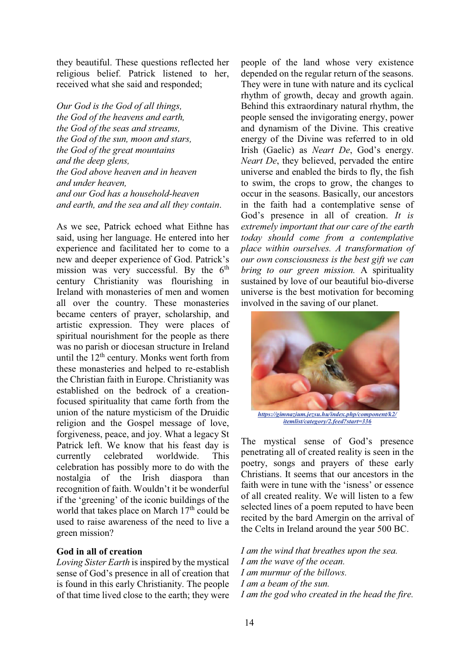they beautiful. These questions reflected her religious belief. Patrick listened to her, received what she said and responded;

*Our God is the God of all things, the God of the heavens and earth, the God of the seas and streams, the God of the sun, moon and stars, the God of the great mountains and the deep glens, the God above heaven and in heaven and under heaven, and our God has a household-heaven and earth, and the sea and all they contain*.

As we see, Patrick echoed what Eithne has said, using her language. He entered into her experience and facilitated her to come to a new and deeper experience of God. Patrick's mission was very successful. By the  $6<sup>th</sup>$ century Christianity was flourishing in Ireland with monasteries of men and women all over the country. These monasteries became centers of prayer, scholarship, and artistic expression. They were places of spiritual nourishment for the people as there was no parish or diocesan structure in Ireland until the  $12<sup>th</sup>$  century. Monks went forth from these monasteries and helped to re-establish the Christian faith in Europe. Christianity was established on the bedrock of a creationfocused spirituality that came forth from the union of the nature mysticism of the Druidic religion and the Gospel message of love, forgiveness, peace, and joy. What a legacy St Patrick left. We know that his feast day is currently celebrated worldwide. This celebration has possibly more to do with the nostalgia of the Irish diaspora than recognition of faith. Wouldn't it be wonderful if the 'greening' of the iconic buildings of the world that takes place on March  $17<sup>th</sup>$  could be used to raise awareness of the need to live a green mission?

## **God in all of creation**

*Loving Sister Earth* is inspired by the mystical sense of God's presence in all of creation that is found in this early Christianity. The people of that time lived close to the earth; they were people of the land whose very existence depended on the regular return of the seasons. They were in tune with nature and its cyclical rhythm of growth, decay and growth again. Behind this extraordinary natural rhythm, the people sensed the invigorating energy, power and dynamism of the Divine. This creative energy of the Divine was referred to in old Irish (Gaelic) as *Neart De*, God's energy. *Neart De*, they believed, pervaded the entire universe and enabled the birds to fly, the fish to swim, the crops to grow, the changes to occur in the seasons. Basically, our ancestors in the faith had a contemplative sense of God's presence in all of creation. It is *extremely important that our care of the earth today should come from a contemplative place within ourselves. A transformation of our own consciousness is the best gift we can bring to our green mission.* A spirituality sustained by love of our beautiful bio-diverse universe is the best motivation for becoming involved in the saving of our planet.



*https://gimnazium.jezsu.hu/index.php/component/k2/ itemlist/category/2.feed?start=336*

The mystical sense of God's presence penetrating all of created reality is seen in the poetry, songs and prayers of these early Christians. It seems that our ancestors in the faith were in tune with the 'isness' or essence of all created reality. We will listen to a few selected lines of a poem reputed to have been recited by the bard Amergin on the arrival of the Celts in Ireland around the year 500 BC.

*I am the wind that breathes upon the sea. I am the wave of the ocean. I am murmur of the billows. I am a beam of the sun. I am the god who created in the head the fire.*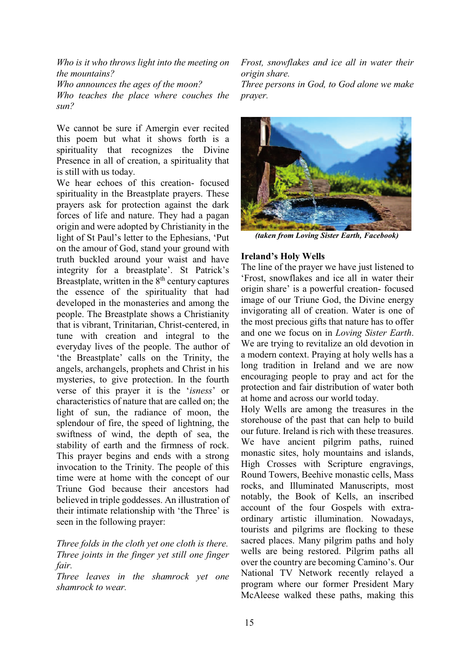*Who is it who throws light into the meeting on the mountains? Who announces the ages of the moon? Who teaches the place where couches the sun?* 

We cannot be sure if Amergin ever recited this poem but what it shows forth is a spirituality that recognizes the Divine Presence in all of creation, a spirituality that is still with us today.

We hear echoes of this creation- focused spirituality in the Breastplate prayers. These prayers ask for protection against the dark forces of life and nature. They had a pagan origin and were adopted by Christianity in the light of St Paul's letter to the Ephesians, 'Put on the amour of God, stand your ground with truth buckled around your waist and have integrity for a breastplate'. St Patrick's Breastplate, written in the  $8<sup>th</sup>$  century captures the essence of the spirituality that had developed in the monasteries and among the people. The Breastplate shows a Christianity that is vibrant, Trinitarian, Christ-centered, in tune with creation and integral to the everyday lives of the people. The author of 'the Breastplate' calls on the Trinity, the angels, archangels, prophets and Christ in his mysteries, to give protection. In the fourth verse of this prayer it is the 'isness' or characteristics of nature that are called on; the light of sun, the radiance of moon, the splendour of fire, the speed of lightning, the swiftness of wind, the depth of sea, the stability of earth and the firmness of rock. This prayer begins and ends with a strong invocation to the Trinity. The people of this time were at home with the concept of our Triune God because their ancestors had believed in triple goddesses. An illustration of their intimate relationship with 'the Three' is seen in the following prayer:

## *Three folds in the cloth yet one cloth is there. Three joints in the finger yet still one finger fair.*

*Three leaves in the shamrock yet one shamrock to wear.* 

*Frost, snowflakes and ice all in water their origin share.* 

*Three persons in God, to God alone we make prayer.* 



*(taken from Loving Sister Earth, Facebook)* 

## **Ireland's Holy Wells**

The line of the prayer we have just listened to Frost, snowflakes and ice all in water their origin share' is a powerful creation- focused image of our Triune God, the Divine energy invigorating all of creation. Water is one of the most precious gifts that nature has to offer and one we focus on in *Loving Sister Earth*. We are trying to revitalize an old devotion in a modern context. Praying at holy wells has a long tradition in Ireland and we are now encouraging people to pray and act for the protection and fair distribution of water both at home and across our world today.

Holy Wells are among the treasures in the storehouse of the past that can help to build our future. Ireland is rich with these treasures. We have ancient pilgrim paths, ruined monastic sites, holy mountains and islands, High Crosses with Scripture engravings, Round Towers, Beehive monastic cells, Mass rocks, and Illuminated Manuscripts, most notably, the Book of Kells, an inscribed account of the four Gospels with extraordinary artistic illumination. Nowadays, tourists and pilgrims are flocking to these sacred places. Many pilgrim paths and holy wells are being restored. Pilgrim paths all over the country are becoming Camino's. Our National TV Network recently relayed a program where our former President Mary McAleese walked these paths, making this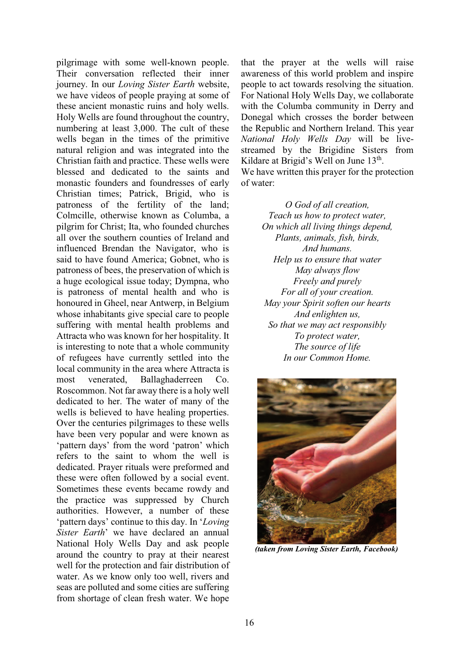pilgrimage with some well-known people. Their conversation reflected their inner journey. In our *Loving Sister Earth* website, we have videos of people praying at some of these ancient monastic ruins and holy wells. Holy Wells are found throughout the country, numbering at least 3,000. The cult of these wells began in the times of the primitive natural religion and was integrated into the Christian faith and practice. These wells were blessed and dedicated to the saints and monastic founders and foundresses of early Christian times; Patrick, Brigid, who is patroness of the fertility of the land; Colmcille, otherwise known as Columba, a pilgrim for Christ; Ita, who founded churches all over the southern counties of Ireland and influenced Brendan the Navigator, who is said to have found America; Gobnet, who is patroness of bees, the preservation of which is a huge ecological issue today; Dympna, who is patroness of mental health and who is honoured in Gheel, near Antwerp, in Belgium whose inhabitants give special care to people suffering with mental health problems and Attracta who was known for her hospitality. It is interesting to note that a whole community of refugees have currently settled into the local community in the area where Attracta is most venerated, Ballaghaderreen Co. Roscommon. Not far away there is a holy well dedicated to her. The water of many of the wells is believed to have healing properties. Over the centuries pilgrimages to these wells have been very popular and were known as 'pattern days' from the word 'patron' which refers to the saint to whom the well is dedicated. Prayer rituals were preformed and these were often followed by a social event. Sometimes these events became rowdy and the practice was suppressed by Church authorities. However, a number of these "pattern days" continue to this day. In 'Loving" *Sister Earth*' we have declared an annual National Holy Wells Day and ask people around the country to pray at their nearest well for the protection and fair distribution of water. As we know only too well, rivers and seas are polluted and some cities are suffering from shortage of clean fresh water. We hope

that the prayer at the wells will raise awareness of this world problem and inspire people to act towards resolving the situation. For National Holy Wells Day, we collaborate with the Columba community in Derry and Donegal which crosses the border between the Republic and Northern Ireland. This year *National Holy Wells Day* will be livestreamed by the Brigidine Sisters from Kildare at Brigid's Well on June  $13<sup>th</sup>$ .

We have written this prayer for the protection of water:

> *O God of all creation, Teach us how to protect water, On which all living things depend, Plants, animals, fish, birds, And humans. Help us to ensure that water May always flow Freely and purely For all of your creation. May your Spirit soften our hearts And enlighten us, So that we may act responsibly To protect water, The source of life In our Common Home.*



 *(taken from Loving Sister Earth, Facebook)*